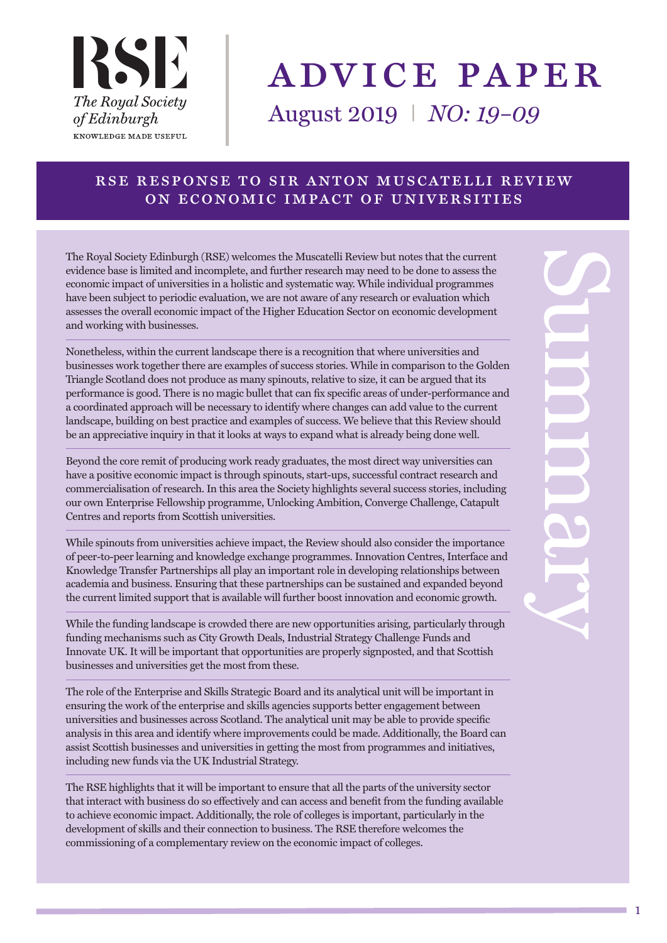

# advice paper

August 2019 I *NO: 19–09*

# rse response to sir anton muscatelli review on economic impact of universities

The Royal Society Edinburgh (RSE) welcomes the Muscatelli Review but notes that the current evidence base is limited and incomplete, and further research may need to be done to assess the economic impact of universities in a holistic and systematic way. While individual programmes have been subject to periodic evaluation, we are not aware of any research or evaluation which assesses the overall economic impact of the Higher Education Sector on economic development and working with businesses.

Nonetheless, within the current landscape there is a recognition that where universities and businesses work together there are examples of success stories. While in comparison to the Golden Triangle Scotland does not produce as many spinouts, relative to size, it can be argued that its performance is good. There is no magic bullet that can fix specific areas of under-performance and a coordinated approach will be necessary to identify where changes can add value to the current landscape, building on best practice and examples of success. We believe that this Review should be an appreciative inquiry in that it looks at ways to expand what is already being done well.

Beyond the core remit of producing work ready graduates, the most direct way universities can have a positive economic impact is through spinouts, start-ups, successful contract research and commercialisation of research. In this area the Society highlights several success stories, including our own Enterprise Fellowship programme, Unlocking Ambition, Converge Challenge, Catapult Centres and reports from Scottish universities.

While spinouts from universities achieve impact, the Review should also consider the importance of peer-to-peer learning and knowledge exchange programmes. Innovation Centres, Interface and Knowledge Transfer Partnerships all play an important role in developing relationships between academia and business. Ensuring that these partnerships can be sustained and expanded beyond the current limited support that is available will further boost innovation and economic growth.

While the funding landscape is crowded there are new opportunities arising, particularly through funding mechanisms such as City Growth Deals, Industrial Strategy Challenge Funds and Innovate UK. It will be important that opportunities are properly signposted, and that Scottish businesses and universities get the most from these.

The role of the Enterprise and Skills Strategic Board and its analytical unit will be important in ensuring the work of the enterprise and skills agencies supports better engagement between universities and businesses across Scotland. The analytical unit may be able to provide specific analysis in this area and identify where improvements could be made. Additionally, the Board can assist Scottish businesses and universities in getting the most from programmes and initiatives, including new funds via the UK Industrial Strategy.

The RSE highlights that it will be important to ensure that all the parts of the university sector that interact with business do so effectively and can access and benefit from the funding available to achieve economic impact. Additionally, the role of colleges is important, particularly in the development of skills and their connection to business. The RSE therefore welcomes the commissioning of a complementary review on the economic impact of colleges.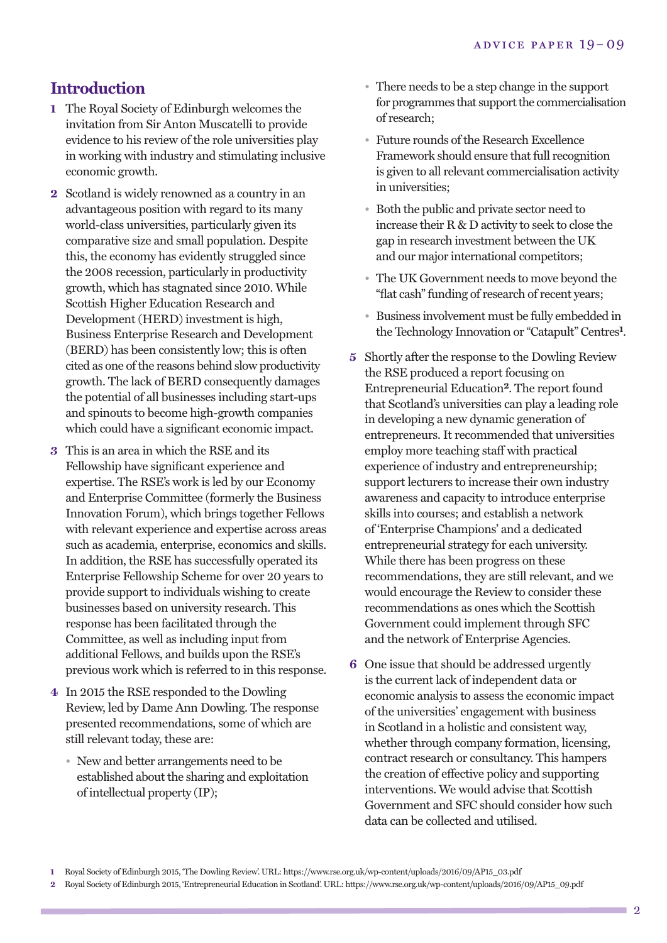# **Introduction**

- **1** The Royal Society of Edinburgh welcomes the invitation from Sir Anton Muscatelli to provide evidence to his review of the role universities play in working with industry and stimulating inclusive economic growth.
- **2** Scotland is widely renowned as a country in an advantageous position with regard to its many world-class universities, particularly given its comparative size and small population. Despite this, the economy has evidently struggled since the 2008 recession, particularly in productivity growth, which has stagnated since 2010. While Scottish Higher Education Research and Development (HERD) investment is high, Business Enterprise Research and Development (BERD) has been consistently low; this is often cited as one of the reasons behind slow productivity growth. The lack of BERD consequently damages the potential of all businesses including start-ups and spinouts to become high-growth companies which could have a significant economic impact.
- **3** This is an area in which the RSE and its Fellowship have significant experience and expertise. The RSE's work is led by our Economy and Enterprise Committee (formerly the Business Innovation Forum), which brings together Fellows with relevant experience and expertise across areas such as academia, enterprise, economics and skills. In addition, the RSE has successfully operated its Enterprise Fellowship Scheme for over 20 years to provide support to individuals wishing to create businesses based on university research. This response has been facilitated through the Committee, as well as including input from additional Fellows, and builds upon the RSE's previous work which is referred to in this response.
- **4** In 2015 the RSE responded to the Dowling Review, led by Dame Ann Dowling. The response presented recommendations, some of which are still relevant today, these are:
	- New and better arrangements need to be established about the sharing and exploitation of intellectual property (IP);
- There needs to be a step change in the support for programmes that support the commercialisation of research;
- Future rounds of the Research Excellence Framework should ensure that full recognition is given to all relevant commercialisation activity in universities;
- Both the public and private sector need to increase their R & D activity to seek to close the gap in research investment between the UK and our major international competitors;
- The UK Government needs to move beyond the "flat cash" funding of research of recent years;
- Business involvement must be fully embedded in the Technology Innovation or "Catapult" Centres**1**.
- **5** Shortly after the response to the Dowling Review the RSE produced a report focusing on Entrepreneurial Education**2**. The report found that Scotland's universities can play a leading role in developing a new dynamic generation of entrepreneurs. It recommended that universities employ more teaching staff with practical experience of industry and entrepreneurship; support lecturers to increase their own industry awareness and capacity to introduce enterprise skills into courses; and establish a network of 'Enterprise Champions' and a dedicated entrepreneurial strategy for each university. While there has been progress on these recommendations, they are still relevant, and we would encourage the Review to consider these recommendations as ones which the Scottish Government could implement through SFC and the network of Enterprise Agencies.
- **6** One issue that should be addressed urgently is the current lack of independent data or economic analysis to assess the economic impact of the universities' engagement with business in Scotland in a holistic and consistent way, whether through company formation, licensing, contract research or consultancy. This hampers the creation of effective policy and supporting interventions. We would advise that Scottish Government and SFC should consider how such data can be collected and utilised.

**2** Royal Society of Edinburgh 2015, 'Entrepreneurial Education in Scotland'. URL: https://www.rse.org.uk/wp-content/uploads/2016/09/AP15\_09.pdf

**<sup>1</sup>** Royal Society of Edinburgh 2015, 'The Dowling Review'. URL: https://www.rse.org.uk/wp-content/uploads/2016/09/AP15\_03.pdf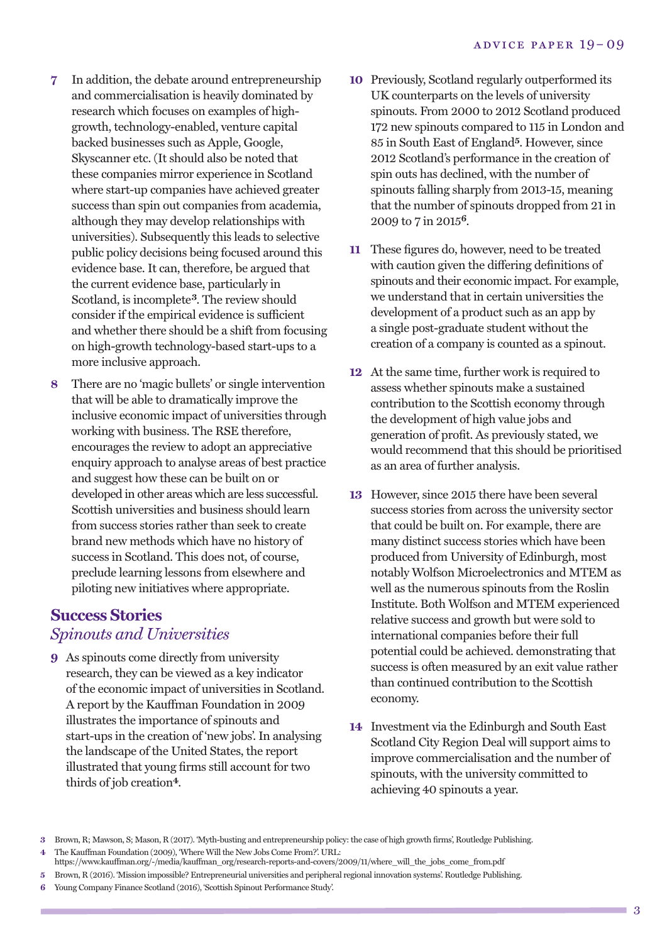- **7** In addition, the debate around entrepreneurship and commercialisation is heavily dominated by research which focuses on examples of highgrowth, technology-enabled, venture capital backed businesses such as Apple, Google, Skyscanner etc. (It should also be noted that these companies mirror experience in Scotland where start-up companies have achieved greater success than spin out companies from academia, although they may develop relationships with universities). Subsequently this leads to selective public policy decisions being focused around this evidence base. It can, therefore, be argued that the current evidence base, particularly in Scotland, is incomplete**3**. The review should consider if the empirical evidence is sufficient and whether there should be a shift from focusing on high-growth technology-based start-ups to a more inclusive approach.
- **8** There are no 'magic bullets' or single intervention that will be able to dramatically improve the inclusive economic impact of universities through working with business. The RSE therefore, encourages the review to adopt an appreciative enquiry approach to analyse areas of best practice and suggest how these can be built on or developed in other areas which are less successful. Scottish universities and business should learn from success stories rather than seek to create brand new methods which have no history of success in Scotland. This does not, of course, preclude learning lessons from elsewhere and piloting new initiatives where appropriate.

### **Success Stories** *Spinouts and Universities*

**9** As spinouts come directly from university research, they can be viewed as a key indicator of the economic impact of universities in Scotland. A report by the Kauffman Foundation in 2009 illustrates the importance of spinouts and start-ups in the creation of 'new jobs'. In analysing the landscape of the United States, the report illustrated that young firms still account for two thirds of job creation**4**.

- **10** Previously, Scotland regularly outperformed its UK counterparts on the levels of university spinouts. From 2000 to 2012 Scotland produced 172 new spinouts compared to 115 in London and 85 in South East of England**5**. However, since 2012 Scotland's performance in the creation of spin outs has declined, with the number of spinouts falling sharply from 2013-15, meaning that the number of spinouts dropped from 21 in 2009 to 7 in 2015**6**.
- **11** These figures do, however, need to be treated with caution given the differing definitions of spinouts and their economic impact. For example, we understand that in certain universities the development of a product such as an app by a single post-graduate student without the creation of a company is counted as a spinout.
- **12** At the same time, further work is required to assess whether spinouts make a sustained contribution to the Scottish economy through the development of high value jobs and generation of profit. As previously stated, we would recommend that this should be prioritised as an area of further analysis.
- **13** However, since 2015 there have been several success stories from across the university sector that could be built on. For example, there are many distinct success stories which have been produced from University of Edinburgh, most notably Wolfson Microelectronics and MTEM as well as the numerous spinouts from the Roslin Institute. Both Wolfson and MTEM experienced relative success and growth but were sold to international companies before their full potential could be achieved. demonstrating that success is often measured by an exit value rather than continued contribution to the Scottish economy.
- **14** Investment via the Edinburgh and South East Scotland City Region Deal will support aims to improve commercialisation and the number of spinouts, with the university committed to achieving 40 spinouts a year.

**6** Young Company Finance Scotland (2016), 'Scottish Spinout Performance Study'.

**<sup>3</sup>** Brown, R; Mawson, S; Mason, R (2017). 'Myth-busting and entrepreneurship policy: the case of high growth firms', Routledge Publishing. **4** The Kauffman Foundation (2009), 'Where Will the New Jobs Come From?'. URL:

 $\hbox{https://www.kauffman.org/~/media/kauffman.org/research-reports-and-covery/2009/11/where\_will\_the\_jobs\_come\_from.pdf}$ 

**<sup>5</sup>** Brown, R (2016). 'Mission impossible? Entrepreneurial universities and peripheral regional innovation systems'. Routledge Publishing.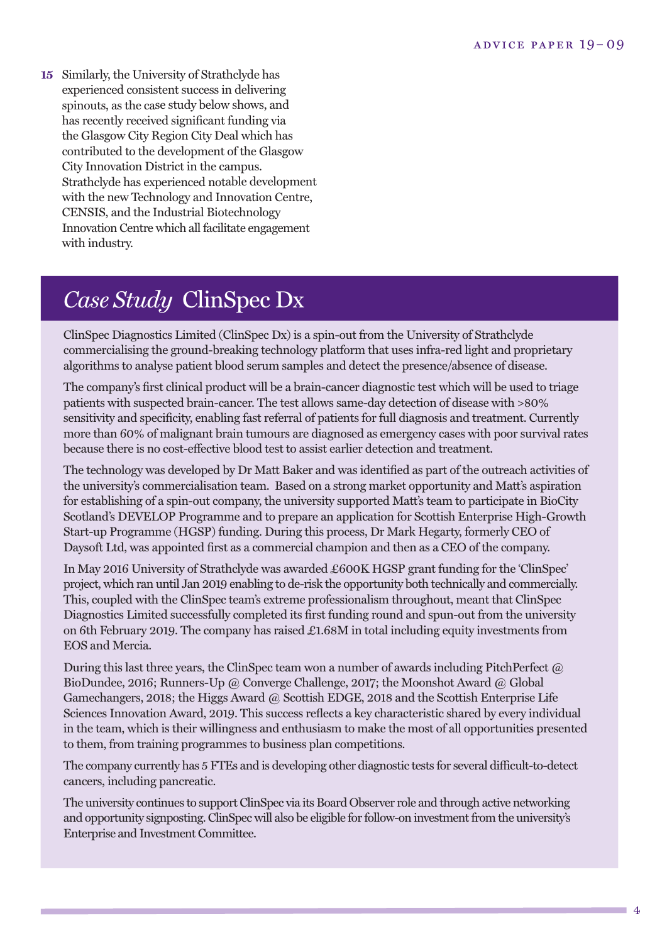**<sup>15</sup>** Similarly, the University of Strathclyde has experienced consistent success in delivering spinouts, as the case study below shows, and has recently received significant funding via the Glasgow City Region City Deal which has contributed to the development of the Glasgow City Innovation District in the campus. Strathclyde has experienced notable development with the new Technology and Innovation Centre, CENSIS, and the Industrial Biotechnology Innovation Centre which all facilitate engagement with industry.

# *Case Study* ClinSpec Dx

ClinSpec Diagnostics Limited (ClinSpec Dx) is a spin-out from the University of Strathclyde commercialising the ground-breaking technology platform that uses infra-red light and proprietary algorithms to analyse patient blood serum samples and detect the presence/absence of disease.

The company's first clinical product will be a brain-cancer diagnostic test which will be used to triage patients with suspected brain-cancer. The test allows same-day detection of disease with >80% sensitivity and specificity, enabling fast referral of patients for full diagnosis and treatment. Currently more than 60% of malignant brain tumours are diagnosed as emergency cases with poor survival rates because there is no cost-effective blood test to assist earlier detection and treatment.

The technology was developed by Dr Matt Baker and was identified as part of the outreach activities of the university's commercialisation team. Based on a strong market opportunity and Matt's aspiration for establishing of a spin-out company, the university supported Matt's team to participate in BioCity Scotland's DEVELOP Programme and to prepare an application for Scottish Enterprise High-Growth Start-up Programme (HGSP) funding. During this process, Dr Mark Hegarty, formerly CEO of Daysoft Ltd, was appointed first as a commercial champion and then as a CEO of the company.

In May 2016 University of Strathclyde was awarded £600K HGSP grant funding for the 'ClinSpec' project, which ran until Jan 2019 enabling to de-risk the opportunity both technically and commercially. This, coupled with the ClinSpec team's extreme professionalism throughout, meant that ClinSpec Diagnostics Limited successfully completed its first funding round and spun-out from the university on 6th February 2019. The company has raised £1.68M in total including equity investments from EOS and Mercia.

During this last three years, the ClinSpec team won a number of awards including PitchPerfect @ BioDundee, 2016; Runners-Up @ Converge Challenge, 2017; the Moonshot Award @ Global Gamechangers, 2018; the Higgs Award @ Scottish EDGE, 2018 and the Scottish Enterprise Life Sciences Innovation Award, 2019. This success reflects a key characteristic shared by every individual in the team, which is their willingness and enthusiasm to make the most of all opportunities presented to them, from training programmes to business plan competitions.

The company currently has 5 FTEs and is developing other diagnostic tests for several difficult-to-detect cancers, including pancreatic.

The university continues to support ClinSpec via its Board Observer role and through active networking and opportunity signposting.ClinSpec will also be eligible for follow-on investmentfrom the university's Enterprise and Investment Committee.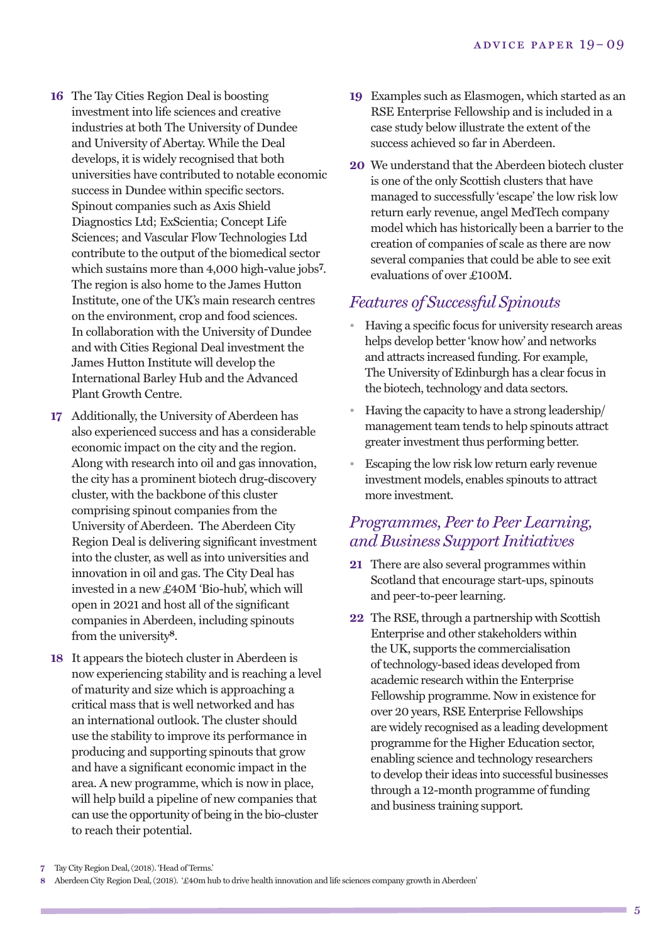- **16** The Tay Cities Region Deal is boosting investment into life sciences and creative industries at both The University of Dundee and University of Abertay. While the Deal develops, it is widely recognised that both universities have contributed to notable economic success in Dundee within specific sectors. Spinout companies such as Axis Shield Diagnostics Ltd; ExScientia; Concept Life Sciences; and Vascular Flow Technologies Ltd contribute to the output of the biomedical sector which sustains more than 4,000 high-value jobs**7**. The region is also home to the James Hutton Institute, one of the UK's main research centres on the environment, crop and food sciences. In collaboration with the University of Dundee and with Cities Regional Deal investment the James Hutton Institute will develop the International Barley Hub and the Advanced Plant Growth Centre.
- **17** Additionally, the University of Aberdeen has also experienced success and has a considerable economic impact on the city and the region. Along with research into oil and gas innovation, the city has a prominent biotech drug-discovery cluster, with the backbone of this cluster comprising spinout companies from the University of Aberdeen. The Aberdeen City Region Deal is delivering significant investment into the cluster, as well as into universities and innovation in oil and gas. The City Deal has invested in a new £40M 'Bio-hub', which will open in 2021 and host all of the significant companies in Aberdeen, including spinouts from the university**8**.
- **18** It appears the biotech cluster in Aberdeen is now experiencing stability and is reaching a level of maturity and size which is approaching a critical mass that is well networked and has an international outlook. The cluster should use the stability to improve its performance in producing and supporting spinouts that grow and have a significant economic impact in the area. A new programme, which is now in place, will help build a pipeline of new companies that can use the opportunity of being in the bio-cluster to reach their potential.
- **19** Examples such as Elasmogen, which started as an RSE Enterprise Fellowship and is included in a case study below illustrate the extent of the success achieved so far in Aberdeen.
- **20** We understand that the Aberdeen biotech cluster is one of the only Scottish clusters that have managed to successfully 'escape' the low risk low return early revenue, angel MedTech company model which has historically been a barrier to the creation of companies of scale as there are now several companies that could be able to see exit evaluations of over £100M.

### *Features of Successful Spinouts*

- Having a specific focus for university research areas helps develop better 'know how' and networks and attracts increased funding. For example, The University of Edinburgh has a clear focus in the biotech, technology and data sectors.
- Having the capacity to have a strong leadership/ management team tends to help spinouts attract greater investment thus performing better.
- Escaping the low risk low return early revenue investment models, enables spinouts to attract more investment.

# *Programmes, Peer to Peer Learning, and Business SupportInitiatives*

- **21** There are also several programmes within Scotland that encourage start-ups, spinouts and peer-to-peer learning.
- **22** The RSE, through a partnership with Scottish Enterprise and other stakeholders within the UK, supports the commercialisation of technology-based ideas developed from academic research within the Enterprise Fellowship programme. Now in existence for over 20 years, RSE Enterprise Fellowships are widely recognised as a leading development programme for the Higher Education sector, enabling science and technology researchers to develop their ideas into successful businesses through a 12-month programme of funding and business training support.

**<sup>7</sup>** Tay City Region Deal,(2018). 'Head of Terms.'

**<sup>8</sup>** Aberdeen City Region Deal,(2018). '£40m hub to drive health innovation and life sciences company growth in Aberdeen'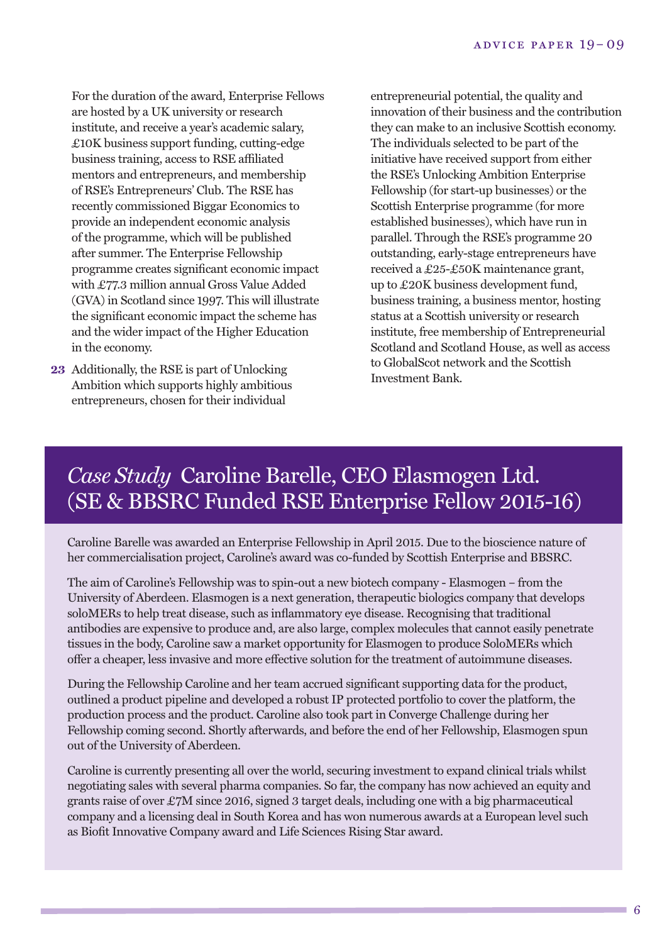For the duration of the award, Enterprise Fellows are hosted by a UK university or research institute, and receive a year's academic salary, £10K business support funding, cutting-edge business training, access to RSE affiliated mentors and entrepreneurs, and membership of RSE's Entrepreneurs' Club. The RSE has recently commissioned Biggar Economics to provide an independent economic analysis of the programme, which will be published after summer. The Enterprise Fellowship programme creates significant economic impact with £77.3 million annual Gross Value Added (GVA) in Scotland since 1997. This will illustrate the significant economic impact the scheme has and the wider impact of the Higher Education in the economy.

**23** Additionally, the RSE is part of Unlocking Ambition which supports highly ambitious entrepreneurs, chosen for their individual

entrepreneurial potential, the quality and innovation of their business and the contribution they can make to an inclusive Scottish economy. The individuals selected to be part of the initiative have received support from either the RSE's Unlocking Ambition Enterprise Fellowship (for start-up businesses) or the Scottish Enterprise programme (for more established businesses), which have run in parallel. Through the RSE's programme 20 outstanding, early-stage entrepreneurs have received a £25-£50K maintenance grant, up to £20K business development fund, business training, a business mentor, hosting status at a Scottish university or research institute, free membership of Entrepreneurial Scotland and Scotland House, as well as access to GlobalScot network and the Scottish Investment Bank.

# *Case Study* Caroline Barelle, CEO Elasmogen Ltd. (SE & BBSRC Funded RSE Enterprise Fellow 2015-16)

Caroline Barelle was awarded an Enterprise Fellowship in April 2015. Due to the bioscience nature of her commercialisation project, Caroline's award was co-funded by Scottish Enterprise and BBSRC.

The aim of Caroline's Fellowship was to spin-out a new biotech company - Elasmogen – from the University of Aberdeen. Elasmogen is a next generation, therapeutic biologics company that develops soloMERs to help treat disease, such as inflammatory eye disease. Recognising that traditional antibodies are expensive to produce and, are also large, complex molecules that cannot easily penetrate tissues in the body, Caroline saw a market opportunity for Elasmogen to produce SoloMERs which offer a cheaper, less invasive and more effective solution for the treatment of autoimmune diseases.

During the Fellowship Caroline and her team accrued significant supporting data for the product, outlined a product pipeline and developed a robust IP protected portfolio to cover the platform, the production process and the product. Caroline also took part in Converge Challenge during her Fellowship coming second. Shortly afterwards, and before the end of her Fellowship, Elasmogen spun out of the University of Aberdeen.

Caroline is currently presenting all over the world, securing investment to expand clinical trials whilst negotiating sales with several pharma companies. So far, the company has now achieved an equity and grants raise of over £7M since 2016, signed 3 target deals, including one with a big pharmaceutical company and a licensing deal in South Korea and has won numerous awards at a European level such as Biofit Innovative Company award and Life Sciences Rising Star award.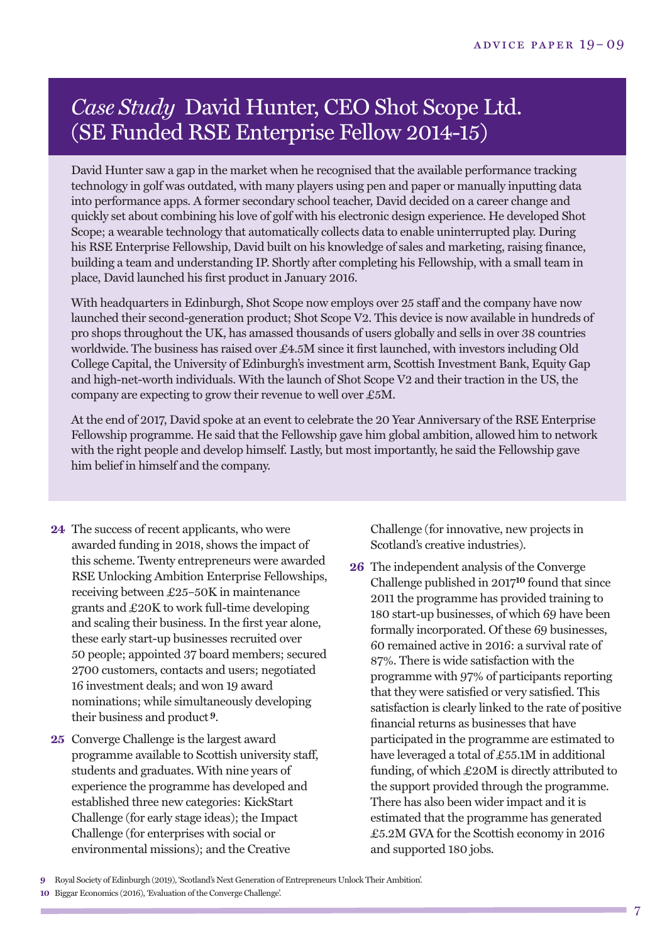# *Case Study* David Hunter, CEO Shot Scope Ltd. (SE Funded RSE Enterprise Fellow 2014-15)

David Hunter saw a gap in the market when he recognised that the available performance tracking technology in golf was outdated, with many players using pen and paper or manually inputting data into performance apps. A former secondary school teacher, David decided on a career change and quickly set about combining his love of golf with his electronic design experience. He developed Shot Scope; a wearable technology that automatically collects data to enable uninterrupted play. During his RSE Enterprise Fellowship, David built on his knowledge of sales and marketing, raising finance, building a team and understanding IP. Shortly after completing his Fellowship, with a small team in place, David launched his first product in January 2016.

With headquarters in Edinburgh, Shot Scope now employs over 25 staff and the company have now launched their second-generation product; Shot Scope V2. This device is now available in hundreds of pro shops throughout the UK, has amassed thousands of users globally and sells in over 38 countries worldwide. The business has raised over £4.5M since it first launched, with investors including Old College Capital, the University of Edinburgh's investment arm, Scottish Investment Bank, Equity Gap and high-net-worth individuals. With the launch of Shot Scope V2 and their traction in the US, the company are expecting to grow their revenue to well over £5M.

At the end of 2017, David spoke at an event to celebrate the 20 Year Anniversary of the RSE Enterprise Fellowship programme. He said that the Fellowship gave him global ambition, allowed him to network with the right people and develop himself. Lastly, but most importantly, he said the Fellowship gave him belief in himself and the company.

- **24** The success of recent applicants, who were awarded funding in 2018, shows the impact of this scheme. Twenty entrepreneurs were awarded RSE Unlocking Ambition Enterprise Fellowships, receiving between £25–50K in maintenance grants and £20K to work full-time developing and scaling their business. In the first year alone, these early start-up businesses recruited over 50 people; appointed 37 board members; secured 2700 customers, contacts and users; negotiated 16 investment deals; and won 19 award nominations; while simultaneously developing their business and product **9**.
- **25** Converge Challenge is the largest award programme available to Scottish university staff, students and graduates. With nine years of experience the programme has developed and established three new categories: KickStart Challenge (for early stage ideas); the Impact Challenge (for enterprises with social or environmental missions); and the Creative

Challenge (for innovative, new projects in Scotland's creative industries).

**26** The independent analysis of the Converge Challenge published in 2017**10** found that since 2011 the programme has provided training to 180 start-up businesses, of which 69 have been formally incorporated. Of these 69 businesses, 60 remained active in 2016: a survival rate of 87%. There is wide satisfaction with the programme with 97% of participants reporting that they were satisfied or very satisfied. This satisfaction is clearly linked to the rate of positive financial returns as businesses that have participated in the programme are estimated to have leveraged a total of £55.1M in additional funding, of which £20M is directly attributed to the support provided through the programme. There has also been wider impact and it is estimated that the programme has generated £5.2M GVA for the Scottish economy in 2016 and supported 180 jobs.

**9** Royal Society of Edinburgh (2019), 'Scotland's Next Generation of Entrepreneurs Unlock Their Ambition'.

**<sup>10</sup>** Biggar Economics (2016), 'Evaluation of the Converge Challenge'.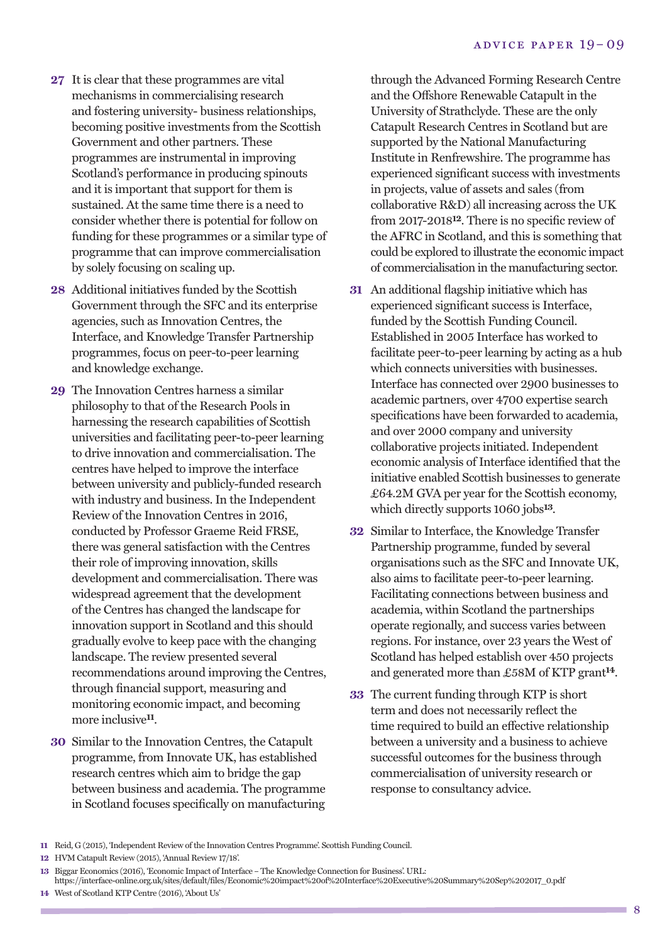- **27** It is clear that these programmes are vital mechanisms in commercialising research and fostering university- business relationships, becoming positive investments from the Scottish Government and other partners. These programmes are instrumental in improving Scotland's performance in producing spinouts and it is important that support for them is sustained. At the same time there is a need to consider whether there is potential for follow on funding for these programmes or a similar type of programme that can improve commercialisation by solely focusing on scaling up.
- **28** Additional initiatives funded by the Scottish Government through the SFC and its enterprise agencies, such as Innovation Centres, the Interface, and Knowledge Transfer Partnership programmes, focus on peer-to-peer learning and knowledge exchange.
- **29** The Innovation Centres harness a similar philosophy to that of the Research Pools in harnessing the research capabilities of Scottish universities and facilitating peer-to-peer learning to drive innovation and commercialisation. The centres have helped to improve the interface between university and publicly-funded research with industry and business. In the Independent Review of the Innovation Centres in 2016, conducted by Professor Graeme Reid FRSE, there was general satisfaction with the Centres their role of improving innovation, skills development and commercialisation. There was widespread agreement that the development of the Centres has changed the landscape for innovation support in Scotland and this should gradually evolve to keep pace with the changing landscape. The review presented several recommendations around improving the Centres, through financial support, measuring and monitoring economic impact, and becoming more inclusive**11**.
- **30** Similar to the Innovation Centres, the Catapult programme, from Innovate UK, has established research centres which aim to bridge the gap between business and academia. The programme in Scotland focuses specifically on manufacturing

through the Advanced Forming Research Centre and the Offshore Renewable Catapult in the University of Strathclyde. These are the only Catapult Research Centres in Scotland but are supported by the National Manufacturing Institute in Renfrewshire. The programme has experienced significant success with investments in projects, value of assets and sales (from collaborative R&D) all increasing across the UK from 2017-2018**12**. There is no specific review of the AFRC in Scotland, and this is something that could be explored to illustrate the economic impact of commercialisation in the manufacturing sector.

- **31** An additional flagship initiative which has experienced significant success is Interface, funded by the Scottish Funding Council. Established in 2005 Interface has worked to facilitate peer-to-peer learning by acting as a hub which connects universities with businesses. Interface has connected over 2900 businesses to academic partners, over 4700 expertise search specifications have been forwarded to academia, and over 2000 company and university collaborative projects initiated. Independent economic analysis of Interface identified that the initiative enabled Scottish businesses to generate £64.2M GVA per year for the Scottish economy, which directly supports 1060 jobs**13**.
- **32** Similar to Interface, the Knowledge Transfer Partnership programme, funded by several organisations such as the SFC and Innovate UK, also aims to facilitate peer-to-peer learning. Facilitating connections between business and academia, within Scotland the partnerships operate regionally, and success varies between regions. For instance, over 23 years the West of Scotland has helped establish over 450 projects and generated more than £58M of KTP grant**14**.
- **33** The current funding through KTP is short term and does not necessarily reflect the time required to build an effective relationship between a university and a business to achieve successful outcomes for the business through commercialisation of university research or response to consultancy advice.

**14** West of Scotland KTP Centre (2016), 'About Us'

**<sup>11</sup>** Reid, G (2015), 'Independent Review of the Innovation Centres Programme'. Scottish Funding Council.

**<sup>12</sup>** HVM Catapult Review (2015), 'Annual Review 17/18'.

**<sup>13</sup>** Biggar Economics (2016), 'Economic Impact of Interface – The Knowledge Connection for Business'. URL:

https://interface-online.org.uk/sites/default/files/Economic%20impact%20of%20Interface%20Executive%20Summary%20Sep%202017\_0.pdf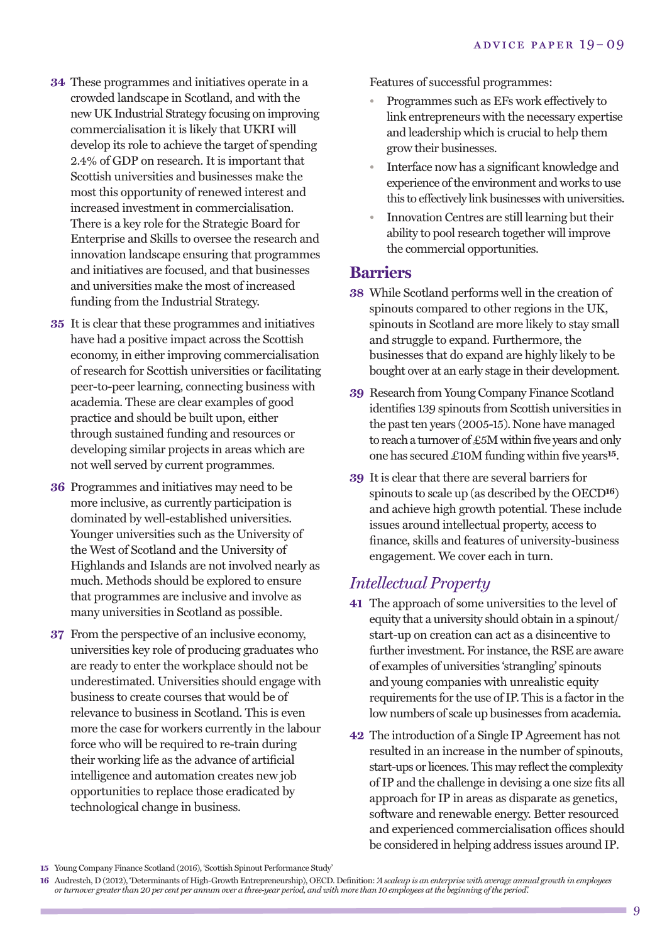- **34** These programmes and initiatives operate in a crowded landscape in Scotland, and with the new UK Industrial Strategy focusing on improving commercialisation it is likely that UKRI will develop its role to achieve the target of spending 2.4% of GDP on research. It is important that Scottish universities and businesses make the most this opportunity of renewed interest and increased investment in commercialisation. There is a key role for the Strategic Board for Enterprise and Skills to oversee the research and innovation landscape ensuring that programmes and initiatives are focused, and that businesses and universities make the most of increased funding from the Industrial Strategy.
- **35** It is clear that these programmes and initiatives have had a positive impact across the Scottish economy, in either improving commercialisation of research for Scottish universities or facilitating peer-to-peer learning, connecting business with academia. These are clear examples of good practice and should be built upon, either through sustained funding and resources or developing similar projects in areas which are not well served by current programmes.
- **36** Programmes and initiatives may need to be more inclusive, as currently participation is dominated by well-established universities. Younger universities such as the University of the West of Scotland and the University of Highlands and Islands are not involved nearly as much. Methods should be explored to ensure that programmes are inclusive and involve as many universities in Scotland as possible.
- **37** From the perspective of an inclusive economy, universities key role of producing graduates who are ready to enter the workplace should not be underestimated. Universities should engage with business to create courses that would be of relevance to business in Scotland. This is even more the case for workers currently in the labour force who will be required to re-train during their working life as the advance of artificial intelligence and automation creates new job opportunities to replace those eradicated by technological change in business.

Features of successful programmes:

- Programmes such as EFs work effectively to link entrepreneurs with the necessary expertise and leadership which is crucial to help them grow their businesses.
- Interface now has a significant knowledge and experience of the environment and works to use this to effectively link businesses with universities.
- Innovation Centres are still learning but their ability to pool research together will improve the commercial opportunities.

#### **Barriers**

- **38** While Scotland performs well in the creation of spinouts compared to other regions in the UK, spinouts in Scotland are more likely to stay small and struggle to expand. Furthermore, the businesses that do expand are highly likely to be bought over at an early stage in their development.
- **39** Research from Young Company Finance Scotland identifies 139 spinouts from Scottish universities in the past ten years (2005-15). None have managed to reach a turnover of  $£5M$  within five years and only one has secured £10M funding within five years**15**.
- **39** It is clear that there are several barriers for spinouts to scale up (as described by the OECD**16**) and achieve high growth potential. These include issues around intellectual property, access to finance, skills and features of university-business engagement. We cover each in turn.

# *Intellectual Property*

- **41** The approach of some universities to the level of equity that a university should obtain in a spinout/ start-up on creation can act as a disincentive to further investment. For instance, the RSE are aware of examples of universities 'strangling' spinouts and young companies with unrealistic equity requirements for the use of IP. This is a factor in the low numbers of scale up businesses from academia.
- **42** The introduction of a Single IP Agreement has not resulted in an increase in the number of spinouts, start-ups or licences. This may reflect the complexity of IP and the challenge in devising a one size fits all approach for IP in areas as disparate as genetics, software and renewable energy. Better resourced and experienced commercialisation offices should be considered in helping address issues around IP.

**<sup>15</sup>** Young Company Finance Scotland (2016), 'Scottish Spinout Performance Study'

<sup>16</sup> Audrestch, D (2012), 'Determinants of High-Growth Entrepreneurship), OECD. Definition: 'A scaleup is an enterprise with average annual growth in employees or turnover greater than 20 per cent per annum over a three-year period, and with more than 10 employees at the beginning of the period.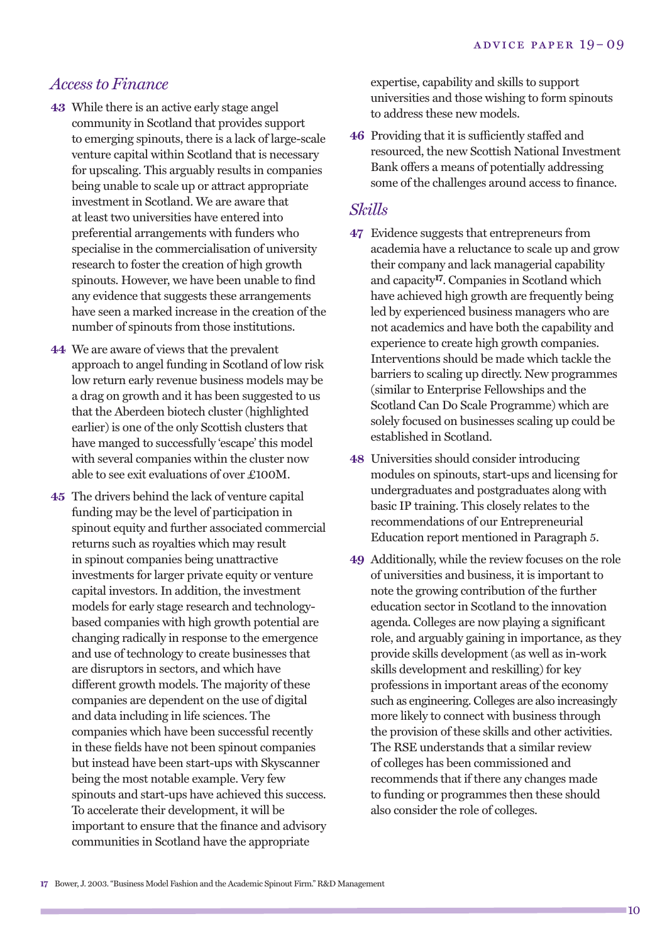#### *Access to Finance*

- **43** While there is an active early stage angel community in Scotland that provides support to emerging spinouts, there is a lack of large-scale venture capital within Scotland that is necessary for upscaling. This arguably results in companies being unable to scale up or attract appropriate investment in Scotland. We are aware that at least two universities have entered into preferential arrangements with funders who specialise in the commercialisation of university research to foster the creation of high growth spinouts. However, we have been unable to find any evidence that suggests these arrangements have seen a marked increase in the creation of the number of spinouts from those institutions.
- **44** We are aware of views that the prevalent approach to angel funding in Scotland of low risk low return early revenue business models may be a drag on growth and it has been suggested to us that the Aberdeen biotech cluster (highlighted earlier) is one of the only Scottish clusters that have manged to successfully 'escape' this model with several companies within the cluster now able to see exit evaluations of over £100M.
- **45** The drivers behind the lack of venture capital funding may be the level of participation in spinout equity and further associated commercial returns such as royalties which may result in spinout companies being unattractive investments for larger private equity or venture capital investors. In addition, the investment models for early stage research and technologybased companies with high growth potential are changing radically in response to the emergence and use of technology to create businesses that are disruptors in sectors, and which have different growth models. The majority of these companies are dependent on the use of digital and data including in life sciences. The companies which have been successful recently in these fields have not been spinout companies but instead have been start-ups with Skyscanner being the most notable example. Very few spinouts and start-ups have achieved this success. To accelerate their development, it will be important to ensure that the finance and advisory communities in Scotland have the appropriate

expertise, capability and skills to support universities and those wishing to form spinouts to address these new models.

**46** Providing that it is sufficiently staffed and resourced, the new Scottish National Investment Bank offers a means of potentially addressing some of the challenges around access to finance.

#### *Skills*

- **47** Evidence suggests that entrepreneurs from academia have a reluctance to scale up and grow their company and lack managerial capability and capacity**17**. Companies in Scotland which have achieved high growth are frequently being led by experienced business managers who are not academics and have both the capability and experience to create high growth companies. Interventions should be made which tackle the barriers to scaling up directly. New programmes (similar to Enterprise Fellowships and the Scotland Can Do Scale Programme) which are solely focused on businesses scaling up could be established in Scotland.
- **48** Universities should consider introducing modules on spinouts, start-ups and licensing for undergraduates and postgraduates along with basic IP training. This closely relates to the recommendations of our Entrepreneurial Education report mentioned in Paragraph 5.
- **49** Additionally, while the review focuses on the role of universities and business, it is important to note the growing contribution of the further education sector in Scotland to the innovation agenda. Colleges are now playing a significant role, and arguably gaining in importance, as they provide skills development (as well as in-work skills development and reskilling) for key professions in important areas of the economy such as engineering. Colleges are also increasingly more likely to connect with business through the provision of these skills and other activities. The RSE understands that a similar review of colleges has been commissioned and recommends that if there any changes made to funding or programmes then these should also consider the role of colleges.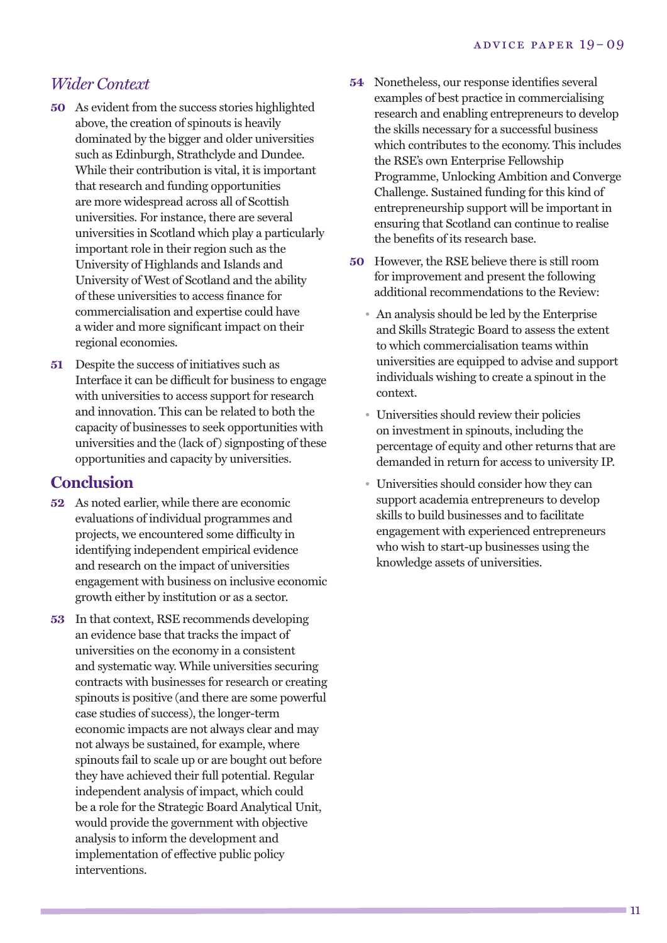# *Wider Context*

- **50** As evident from the success stories highlighted above, the creation of spinouts is heavily dominated by the bigger and older universities such as Edinburgh, Strathclyde and Dundee. While their contribution is vital, it is important that research and funding opportunities are more widespread across all of Scottish universities. For instance, there are several universities in Scotland which play a particularly important role in their region such as the University of Highlands and Islands and University of West of Scotland and the ability of these universities to access finance for commercialisation and expertise could have a wider and more significant impact on their regional economies.
- **51** Despite the success of initiatives such as Interface it can be difficult for business to engage with universities to access support for research and innovation. This can be related to both the capacity of businesses to seek opportunities with universities and the (lack of) signposting of these opportunities and capacity by universities.

### **Conclusion**

- **52** As noted earlier, while there are economic evaluations of individual programmes and projects, we encountered some difficulty in identifying independent empirical evidence and research on the impact of universities engagement with business on inclusive economic growth either by institution or as a sector.
- **53** In that context, RSE recommends developing an evidence base that tracks the impact of universities on the economy in a consistent and systematic way. While universities securing contracts with businesses for research or creating spinouts is positive (and there are some powerful case studies of success), the longer-term economic impacts are not always clear and may not always be sustained, for example, where spinouts fail to scale up or are bought out before they have achieved their full potential. Regular independent analysis of impact, which could be a role for the Strategic Board Analytical Unit, would provide the government with objective analysis to inform the development and implementation of effective public policy interventions.
- **54** Nonetheless, our response identifies several examples of best practice in commercialising research and enabling entrepreneurs to develop the skills necessary for a successful business which contributes to the economy. This includes the RSE's own Enterprise Fellowship Programme, Unlocking Ambition and Converge Challenge. Sustained funding for this kind of entrepreneurship support will be important in ensuring that Scotland can continue to realise the benefits of its research base.
- **50** However, the RSE believe there is still room for improvement and present the following additional recommendations to the Review:
	- An analysis should be led by the Enterprise and Skills Strategic Board to assess the extent to which commercialisation teams within universities are equipped to advise and support individuals wishing to create a spinout in the context.
	- Universities should review their policies on investment in spinouts, including the percentage of equity and other returns that are demanded in return for access to university IP.
	- Universities should consider how they can support academia entrepreneurs to develop skills to build businesses and to facilitate engagement with experienced entrepreneurs who wish to start-up businesses using the knowledge assets of universities.